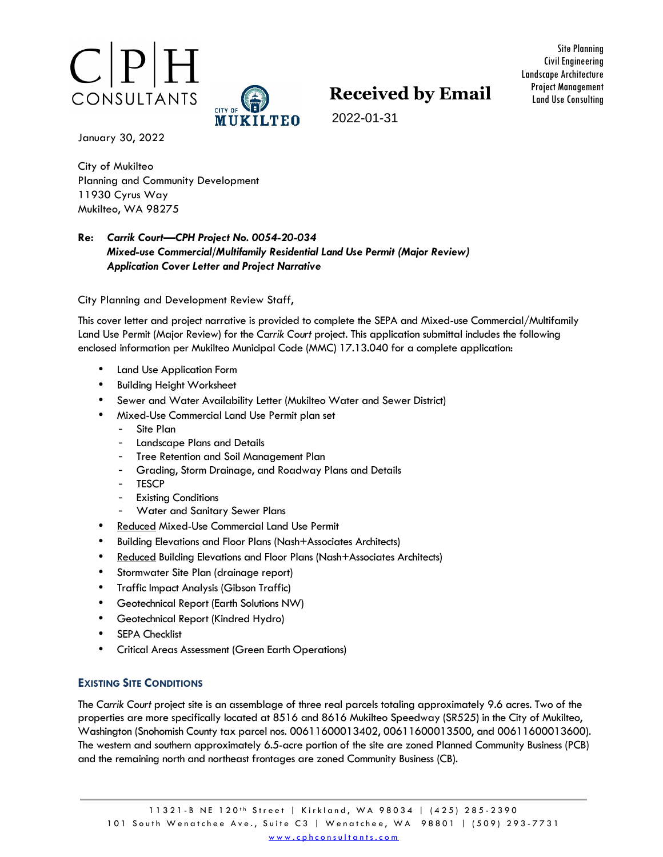



Site Planning Civil Engineering Landscape Architecture Project Management Land Use Consulting

2022-01-31

January 30, 2022

City of Mukilteo Planning and Community Development 11930 Cyrus Way Mukilteo, WA 98275

# **Re:** *Carrik Court—CPH Project No. 0054-20-034 Mixed-use Commercial/Multifamily Residential Land Use Permit (Major Review) Application Cover Letter and Project Narrative*

City Planning and Development Review Staff,

This cover letter and project narrative is provided to complete the SEPA and Mixed-use Commercial/Multifamily Land Use Permit (Major Review) for the *Carrik Court* project. This application submittal includes the following enclosed information per Mukilteo Municipal Code (MMC) 17.13.040 for a complete application:

- Land Use Application Form
- Building Height Worksheet
- Sewer and Water Availability Letter (Mukilteo Water and Sewer District)
- Mixed-Use Commercial Land Use Permit plan set
	- Site Plan
	- Landscape Plans and Details
	- Tree Retention and Soil Management Plan
	- Grading, Storm Drainage, and Roadway Plans and Details
	- TESCP
	- **Existing Conditions**
	- Water and Sanitary Sewer Plans
- Reduced Mixed-Use Commercial Land Use Permit
- Building Elevations and Floor Plans (Nash+Associates Architects)
- Reduced Building Elevations and Floor Plans (Nash+Associates Architects)
- Stormwater Site Plan (drainage report)
- Traffic Impact Analysis (Gibson Traffic)
- Geotechnical Report (Earth Solutions NW)
- Geotechnical Report (Kindred Hydro)
- **SEPA Checklist**
- Critical Areas Assessment (Green Earth Operations)

## **EXISTING SITE CONDITIONS**

The *Carrik Court* project site is an assemblage of three real parcels totaling approximately 9.6 acres. Two of the properties are more specifically located at 8516 and 8616 Mukilteo Speedway (SR525) in the City of Mukilteo, Washington (Snohomish County tax parcel nos. 00611600013402, 00611600013500, and 00611600013600). The western and southern approximately 6.5-acre portion of the site are zoned Planned Community Business (PCB) and the remaining north and northeast frontages are zoned Community Business (CB).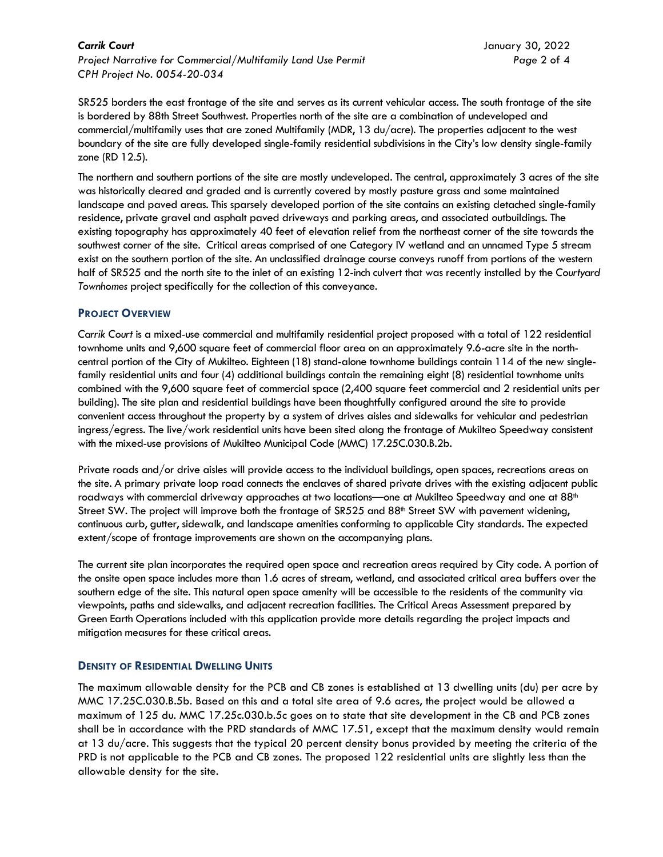*Carrik Court* January 30, 2022 *Project Narrative for Commercial/Multifamily Land Use Permit Page* 2 of 4 *CPH Project No. 0054-20-034* 

SR525 borders the east frontage of the site and serves as its current vehicular access. The south frontage of the site is bordered by 88th Street Southwest. Properties north of the site are a combination of undeveloped and commercial/multifamily uses that are zoned Multifamily (MDR, 13 du/acre). The properties adjacent to the west boundary of the site are fully developed single-family residential subdivisions in the City's low density single-family zone (RD 12.5).

The northern and southern portions of the site are mostly undeveloped. The central, approximately 3 acres of the site was historically cleared and graded and is currently covered by mostly pasture grass and some maintained landscape and paved areas. This sparsely developed portion of the site contains an existing detached single-family residence, private gravel and asphalt paved driveways and parking areas, and associated outbuildings. The existing topography has approximately 40 feet of elevation relief from the northeast corner of the site towards the southwest corner of the site. Critical areas comprised of one Category IV wetland and an unnamed Type 5 stream exist on the southern portion of the site. An unclassified drainage course conveys runoff from portions of the western half of SR525 and the north site to the inlet of an existing 12-inch culvert that was recently installed by the *Courtyard Townhomes* project specifically for the collection of this conveyance.

# **PROJECT OVERVIEW**

*Carrik Court* is a mixed-use commercial and multifamily residential project proposed with a total of 122 residential townhome units and 9,600 square feet of commercial floor area on an approximately 9.6-acre site in the northcentral portion of the City of Mukilteo. Eighteen (18) stand-alone townhome buildings contain 114 of the new singlefamily residential units and four (4) additional buildings contain the remaining eight (8) residential townhome units combined with the 9,600 square feet of commercial space (2,400 square feet commercial and 2 residential units per building). The site plan and residential buildings have been thoughtfully configured around the site to provide convenient access throughout the property by a system of drives aisles and sidewalks for vehicular and pedestrian ingress/egress. The live/work residential units have been sited along the frontage of Mukilteo Speedway consistent with the mixed-use provisions of Mukilteo Municipal Code (MMC) 17.25C.030.B.2b.

Private roads and/or drive aisles will provide access to the individual buildings, open spaces, recreations areas on the site. A primary private loop road connects the enclaves of shared private drives with the existing adjacent public roadways with commercial driveway approaches at two locations—one at Mukilteo Speedway and one at 88<sup>th</sup> Street SW. The project will improve both the frontage of SR525 and 88<sup>th</sup> Street SW with pavement widening, continuous curb, gutter, sidewalk, and landscape amenities conforming to applicable City standards. The expected extent/scope of frontage improvements are shown on the accompanying plans.

The current site plan incorporates the required open space and recreation areas required by City code. A portion of the onsite open space includes more than 1.6 acres of stream, wetland, and associated critical area buffers over the southern edge of the site. This natural open space amenity will be accessible to the residents of the community via viewpoints, paths and sidewalks, and adjacent recreation facilities. The Critical Areas Assessment prepared by Green Earth Operations included with this application provide more details regarding the project impacts and mitigation measures for these critical areas.

## **DENSITY OF RESIDENTIAL DWELLING UNITS**

The maximum allowable density for the PCB and CB zones is established at 13 dwelling units (du) per acre by MMC 17.25C.030.B.5b. Based on this and a total site area of 9.6 acres, the project would be allowed a maximum of 125 du. MMC 17.25c.030.b.5c goes on to state that site development in the CB and PCB zones shall be in accordance with the PRD standards of MMC 17.51, except that the maximum density would remain at 13 du/acre. This suggests that the typical 20 percent density bonus provided by meeting the criteria of the PRD is not applicable to the PCB and CB zones. The proposed 122 residential units are slightly less than the allowable density for the site.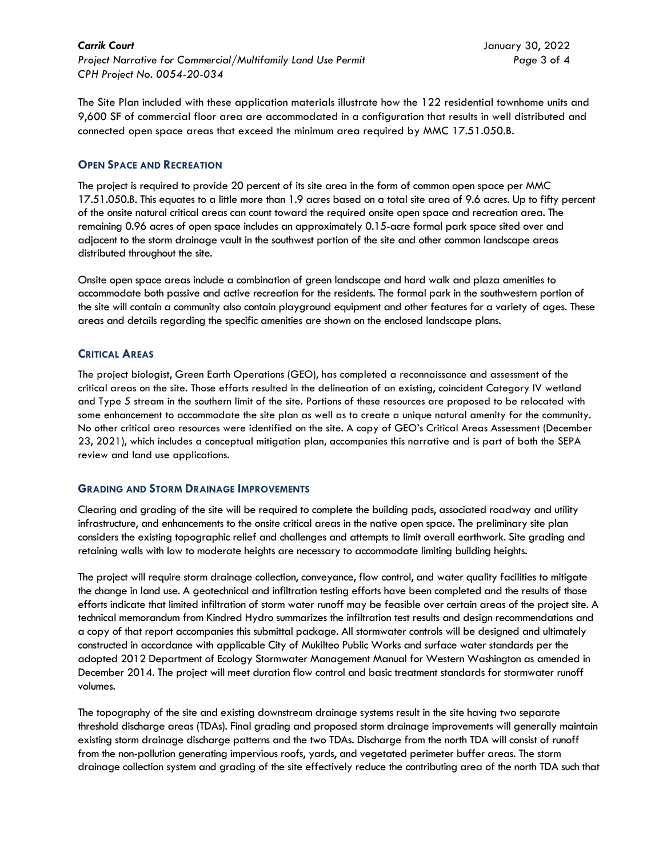*Carrik Court* January 30, 2022 *Project Narrative for Commercial/Multifamily Land Use Permit Page* 3 of 4 *CPH Project No. 0054-20-034* 

The Site Plan included with these application materials illustrate how the 122 residential townhome units and 9,600 SF of commercial floor area are accommodated in a configuration that results in well distributed and connected open space areas that exceed the minimum area required by MMC 17.51.050.B.

## **OPEN SPACE AND RECREATION**

The project is required to provide 20 percent of its site area in the form of common open space per MMC 17.51.050.B. This equates to a little more than 1.9 acres based on a total site area of 9.6 acres. Up to fifty percent of the onsite natural critical areas can count toward the required onsite open space and recreation area. The remaining 0.96 acres of open space includes an approximately 0.15-acre formal park space sited over and adjacent to the storm drainage vault in the southwest portion of the site and other common landscape areas distributed throughout the site.

Onsite open space areas include a combination of green landscape and hard walk and plaza amenities to accommodate both passive and active recreation for the residents. The formal park in the southwestern portion of the site will contain a community also contain playground equipment and other features for a variety of ages. These areas and details regarding the specific amenities are shown on the enclosed landscape plans.

# **CRITICAL AREAS**

The project biologist, Green Earth Operations (GEO), has completed a reconnaissance and assessment of the critical areas on the site. Those efforts resulted in the delineation of an existing, coincident Category IV wetland and Type 5 stream in the southern limit of the site. Portions of these resources are proposed to be relocated with some enhancement to accommodate the site plan as well as to create a unique natural amenity for the community. No other critical area resources were identified on the site. A copy of GEO's Critical Areas Assessment (December 23, 2021), which includes a conceptual mitigation plan, accompanies this narrative and is part of both the SEPA review and land use applications.

## **GRADING AND STORM DRAINAGE IMPROVEMENTS**

Clearing and grading of the site will be required to complete the building pads, associated roadway and utility infrastructure, and enhancements to the onsite critical areas in the native open space. The preliminary site plan considers the existing topographic relief and challenges and attempts to limit overall earthwork. Site grading and retaining walls with low to moderate heights are necessary to accommodate limiting building heights.

The project will require storm drainage collection, conveyance, flow control, and water quality facilities to mitigate the change in land use. A geotechnical and infiltration testing efforts have been completed and the results of those efforts indicate that limited infiltration of storm water runoff may be feasible over certain areas of the project site. A technical memorandum from Kindred Hydro summarizes the infiltration test results and design recommendations and a copy of that report accompanies this submittal package. All stormwater controls will be designed and ultimately constructed in accordance with applicable City of Mukilteo Public Works and surface water standards per the adopted 2012 Department of Ecology Stormwater Management Manual for Western Washington as amended in December 2014. The project will meet duration flow control and basic treatment standards for stormwater runoff volumes.

The topography of the site and existing downstream drainage systems result in the site having two separate threshold discharge areas (TDAs). Final grading and proposed storm drainage improvements will generally maintain existing storm drainage discharge patterns and the two TDAs. Discharge from the north TDA will consist of runoff from the non-pollution generating impervious roofs, yards, and vegetated perimeter buffer areas. The storm drainage collection system and grading of the site effectively reduce the contributing area of the north TDA such that